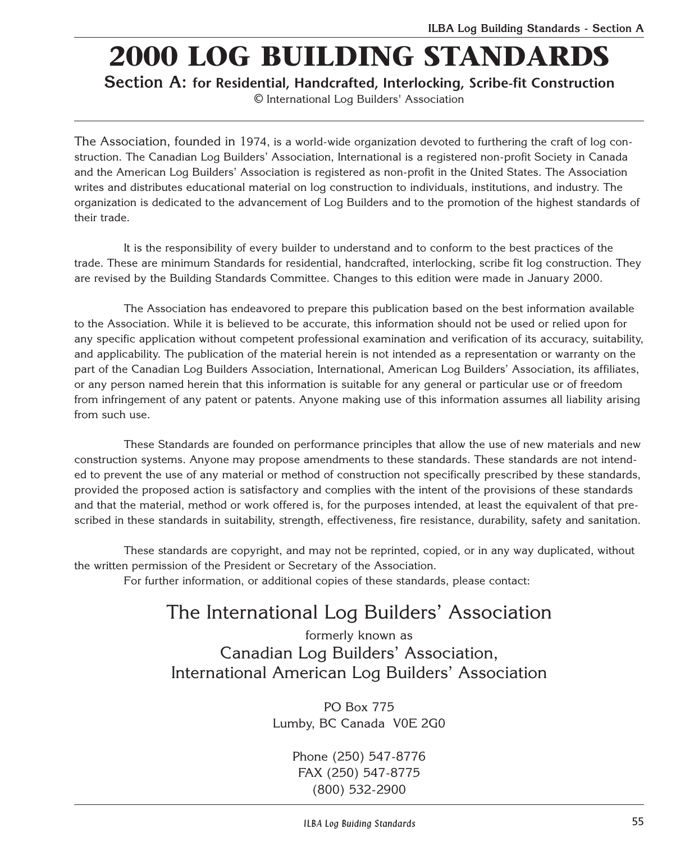# **2000 LOG BUILDING STANDARDS**

**Section A: for Residential, Handcrafted, Interlocking, Scribe-fit Construction**

© International Log Builders' Association

The Association, founded in 1974, is a world-wide organization devoted to furthering the craft of log construction. The Canadian Log Builders' Association, International is a registered non-profit Society in Canada and the American Log Builders' Association is registered as non-profit in the United States. The Association writes and distributes educational material on log construction to individuals, institutions, and industry. The organization is dedicated to the advancement of Log Builders and to the promotion of the highest standards of their trade.

It is the responsibility of every builder to understand and to conform to the best practices of the trade. These are minimum Standards for residential, handcrafted, interlocking, scribe fit log construction. They are revised by the Building Standards Committee. Changes to this edition were made in January 2000.

The Association has endeavored to prepare this publication based on the best information available to the Association. While it is believed to be accurate, this information should not be used or relied upon for any specific application without competent professional examination and verification of its accuracy, suitability, and applicability. The publication of the material herein is not intended as a representation or warranty on the part of the Canadian Log Builders Association, International, American Log Builders' Association, its affiliates, or any person named herein that this information is suitable for any general or particular use or of freedom from infringement of any patent or patents. Anyone making use of this information assumes all liability arising from such use.

These Standards are founded on performance principles that allow the use of new materials and new construction systems. Anyone may propose amendments to these standards. These standards are not intended to prevent the use of any material or method of construction not specifically prescribed by these standards, provided the proposed action is satisfactory and complies with the intent of the provisions of these standards and that the material, method or work offered is, for the purposes intended, at least the equivalent of that prescribed in these standards in suitability, strength, effectiveness, fire resistance, durability, safety and sanitation.

These standards are copyright, and may not be reprinted, copied, or in any way duplicated, without the written permission of the President or Secretary of the Association.

For further information, or additional copies of these standards, please contact:

## The International Log Builders' Association

formerly known as Canadian Log Builders' Association, International American Log Builders' Association

> PO Box 775 Lumby, BC Canada V0E 2G0

> > Phone (250) 547-8776 FAX (250) 547-8775 (800) 532-2900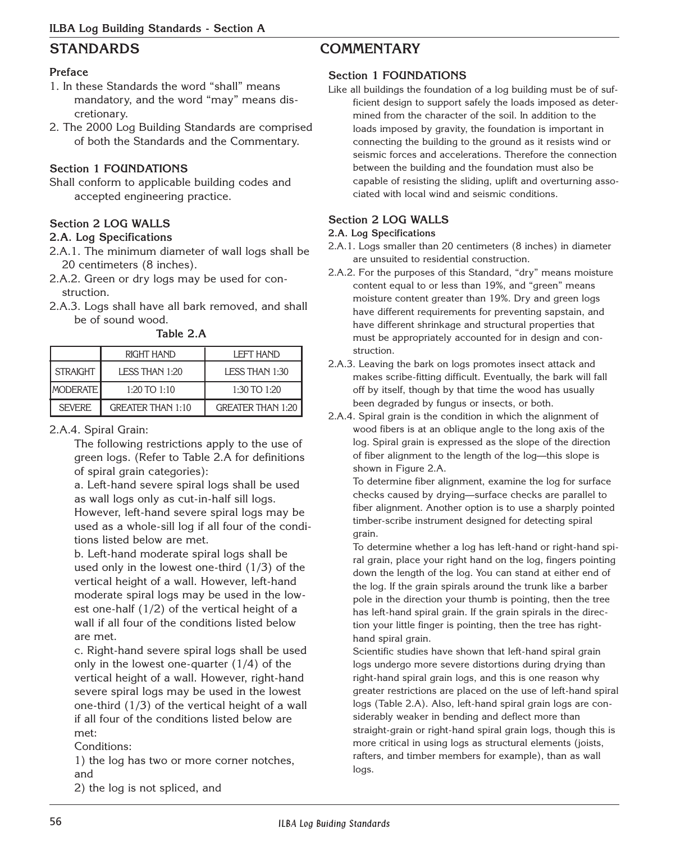#### **Preface**

- 1. In these Standards the word "shall" means mandatory, and the word "may" means discretionary.
- 2. The 2000 Log Building Standards are comprised of both the Standards and the Commentary.

#### **Section 1 FOUNDATIONS**

Shall conform to applicable building codes and accepted engineering practice.

#### **Section 2 LOG WALLS**

#### **2.A. Log Specifications**

- 2.A.1. The minimum diameter of wall logs shall be 20 centimeters (8 inches).
- 2.A.2. Green or dry logs may be used for construction.
- 2.A.3. Logs shall have all bark removed, and shall be of sound wood.

**Table 2.A**

|                 | <b>RIGHT HAND</b>        | <b>LEFT HAND</b>         |
|-----------------|--------------------------|--------------------------|
| STRAIGHT        | LESS THAN 1:20           | LESS THAN 1:30           |
| <b>MODERATE</b> | $1:20$ TO $1:10$         | 1:30 TO 1:20             |
| <b>SFVFRF</b>   | <b>GREATER THAN 1:10</b> | <b>GREATER THAN 1:20</b> |

#### 2.A.4. Spiral Grain:

The following restrictions apply to the use of green logs. (Refer to Table 2.A for definitions of spiral grain categories):

a. Left-hand severe spiral logs shall be used as wall logs only as cut-in-half sill logs. However, left-hand severe spiral logs may be used as a whole-sill log if all four of the conditions listed below are met.

b. Left-hand moderate spiral logs shall be used only in the lowest one-third (1/3) of the vertical height of a wall. However, left-hand moderate spiral logs may be used in the lowest one-half (1/2) of the vertical height of a wall if all four of the conditions listed below are met.

c. Right-hand severe spiral logs shall be used only in the lowest one-quarter  $(1/4)$  of the vertical height of a wall. However, right-hand severe spiral logs may be used in the lowest one-third (1/3) of the vertical height of a wall if all four of the conditions listed below are met:

Conditions:

1) the log has two or more corner notches, and

2) the log is not spliced, and

## **STANDARDS COMMENTARY**

#### **Section 1 FOUNDATIONS**

Like all buildings the foundation of a log building must be of sufficient design to support safely the loads imposed as determined from the character of the soil. In addition to the loads imposed by gravity, the foundation is important in connecting the building to the ground as it resists wind or seismic forces and accelerations. Therefore the connection between the building and the foundation must also be capable of resisting the sliding, uplift and overturning associated with local wind and seismic conditions.

### **Section 2 LOG WALLS**

#### **2.A. Log Specifications**

- 2.A.1. Logs smaller than 20 centimeters (8 inches) in diameter are unsuited to residential construction.
- 2.A.2. For the purposes of this Standard, "dry" means moisture content equal to or less than 19%, and "green" means moisture content greater than 19%. Dry and green logs have different requirements for preventing sapstain, and have different shrinkage and structural properties that must be appropriately accounted for in design and construction.
- 2.A.3. Leaving the bark on logs promotes insect attack and makes scribe-fitting difficult. Eventually, the bark will fall off by itself, though by that time the wood has usually been degraded by fungus or insects, or both.
- 2.A.4. Spiral grain is the condition in which the alignment of wood fibers is at an oblique angle to the long axis of the log. Spiral grain is expressed as the slope of the direction of fiber alignment to the length of the log—this slope is shown in Figure 2.A.

To determine fiber alignment, examine the log for surface checks caused by drying—surface checks are parallel to fiber alignment. Another option is to use a sharply pointed timber-scribe instrument designed for detecting spiral grain.

To determine whether a log has left-hand or right-hand spiral grain, place your right hand on the log, fingers pointing down the length of the log. You can stand at either end of the log. If the grain spirals around the trunk like a barber pole in the direction your thumb is pointing, then the tree has left-hand spiral grain. If the grain spirals in the direction your little finger is pointing, then the tree has righthand spiral grain.

Scientific studies have shown that left-hand spiral grain logs undergo more severe distortions during drying than right-hand spiral grain logs, and this is one reason why greater restrictions are placed on the use of left-hand spiral logs (Table 2.A). Also, left-hand spiral grain logs are considerably weaker in bending and deflect more than straight-grain or right-hand spiral grain logs, though this is more critical in using logs as structural elements (joists, rafters, and timber members for example), than as wall logs.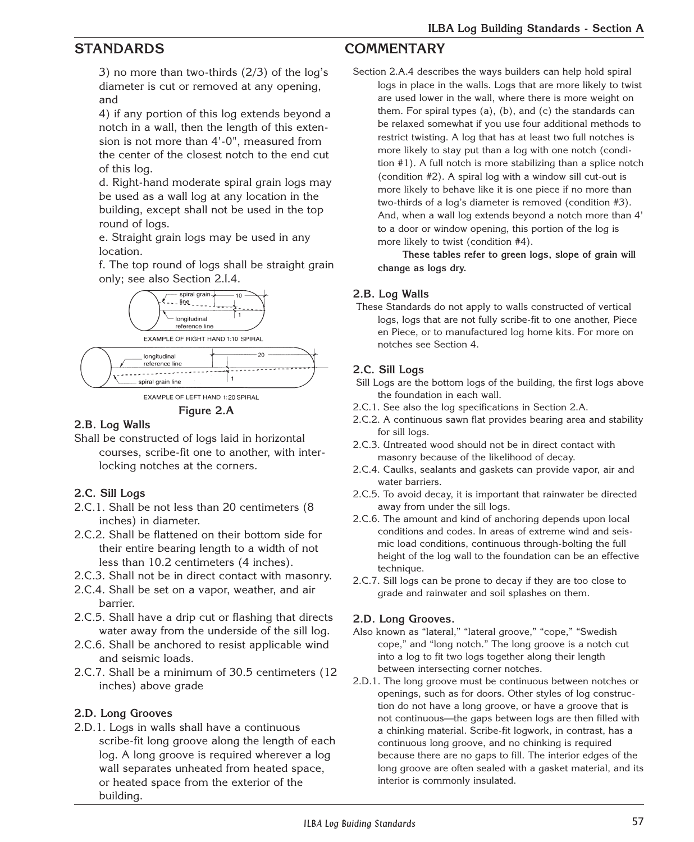3) no more than two-thirds (2/3) of the log's diameter is cut or removed at any opening, and

4) if any portion of this log extends beyond a notch in a wall, then the length of this extension is not more than 4'-0", measured from the center of the closest notch to the end cut of this log.

d. Right-hand moderate spiral grain logs may be used as a wall log at any location in the building, except shall not be used in the top round of logs.

e. Straight grain logs may be used in any location.

f. The top round of logs shall be straight grain only; see also Section 2.I.4.





**Figure 2.A**

### **2.B. Log Walls**

Shall be constructed of logs laid in horizontal courses, scribe-fit one to another, with interlocking notches at the corners.

#### **2.C. Sill Logs**

- 2.C.1. Shall be not less than 20 centimeters (8 inches) in diameter.
- 2.C.2. Shall be flattened on their bottom side for their entire bearing length to a width of not less than 10.2 centimeters (4 inches).
- 2.C.3. Shall not be in direct contact with masonry.
- 2.C.4. Shall be set on a vapor, weather, and air barrier.
- 2.C.5. Shall have a drip cut or flashing that directs water away from the underside of the sill log.
- 2.C.6. Shall be anchored to resist applicable wind and seismic loads.
- 2.C.7. Shall be a minimum of 30.5 centimeters (12 inches) above grade

#### **2.D. Long Grooves**

2.D.1. Logs in walls shall have a continuous scribe-fit long groove along the length of each log. A long groove is required wherever a log wall separates unheated from heated space, or heated space from the exterior of the building.

## **STANDARDS COMMENTARY**

Section 2.A.4 describes the ways builders can help hold spiral logs in place in the walls. Logs that are more likely to twist are used lower in the wall, where there is more weight on them. For spiral types (a), (b), and (c) the standards can be relaxed somewhat if you use four additional methods to restrict twisting. A log that has at least two full notches is more likely to stay put than a log with one notch (condition #1). A full notch is more stabilizing than a splice notch (condition #2). A spiral log with a window sill cut-out is more likely to behave like it is one piece if no more than two-thirds of a log's diameter is removed (condition #3). And, when a wall log extends beyond a notch more than 4' to a door or window opening, this portion of the log is more likely to twist (condition #4).

**These tables refer to green logs, slope of grain will change as logs dry.**

#### **2.B. Log Walls**

These Standards do not apply to walls constructed of vertical logs, logs that are not fully scribe-fit to one another, Piece en Piece, or to manufactured log home kits. For more on notches see Section 4.

#### **2.C. Sill Logs**

- Sill Logs are the bottom logs of the building, the first logs above the foundation in each wall.
- 2.C.1. See also the log specifications in Section 2.A.
- 2.C.2. A continuous sawn flat provides bearing area and stability for sill logs.
- 2.C.3. Untreated wood should not be in direct contact with masonry because of the likelihood of decay.
- 2.C.4. Caulks, sealants and gaskets can provide vapor, air and water barriers.
- 2.C.5. To avoid decay, it is important that rainwater be directed away from under the sill logs.
- 2.C.6. The amount and kind of anchoring depends upon local conditions and codes. In areas of extreme wind and seismic load conditions, continuous through-bolting the full height of the log wall to the foundation can be an effective technique.
- 2.C.7. Sill logs can be prone to decay if they are too close to grade and rainwater and soil splashes on them.

#### **2.D. Long Grooves.**

- Also known as "lateral," "lateral groove," "cope," "Swedish cope," and "long notch." The long groove is a notch cut into a log to fit two logs together along their length between intersecting corner notches.
- 2.D.1. The long groove must be continuous between notches or openings, such as for doors. Other styles of log construction do not have a long groove, or have a groove that is not continuous—the gaps between logs are then filled with a chinking material. Scribe-fit logwork, in contrast, has a continuous long groove, and no chinking is required because there are no gaps to fill. The interior edges of the long groove are often sealed with a gasket material, and its interior is commonly insulated.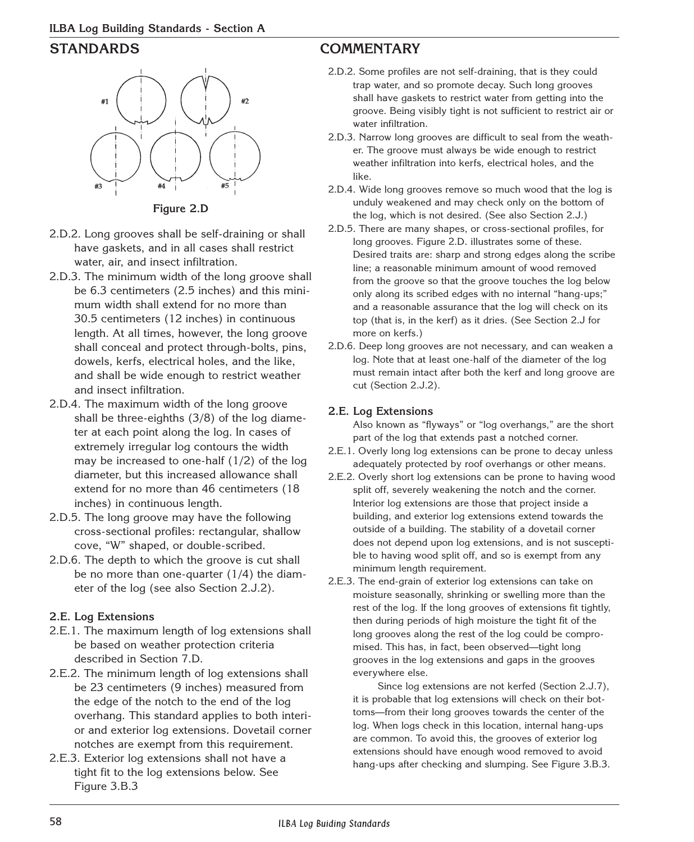

**Figure 2.D**

- 2.D.2. Long grooves shall be self-draining or shall have gaskets, and in all cases shall restrict water, air, and insect infiltration.
- 2.D.3. The minimum width of the long groove shall be 6.3 centimeters (2.5 inches) and this minimum width shall extend for no more than 30.5 centimeters (12 inches) in continuous length. At all times, however, the long groove shall conceal and protect through-bolts, pins, dowels, kerfs, electrical holes, and the like, and shall be wide enough to restrict weather and insect infiltration.
- 2.D.4. The maximum width of the long groove shall be three-eighths (3/8) of the log diameter at each point along the log. In cases of extremely irregular log contours the width may be increased to one-half (1/2) of the log diameter, but this increased allowance shall extend for no more than 46 centimeters (18 inches) in continuous length.
- 2.D.5. The long groove may have the following cross-sectional profiles: rectangular, shallow cove, "W" shaped, or double-scribed.
- 2.D.6. The depth to which the groove is cut shall be no more than one-quarter  $(1/4)$  the diameter of the log (see also Section 2.J.2).

### **2.E. Log Extensions**

- 2.E.1. The maximum length of log extensions shall be based on weather protection criteria described in Section 7.D.
- 2.E.2. The minimum length of log extensions shall be 23 centimeters (9 inches) measured from the edge of the notch to the end of the log overhang. This standard applies to both interior and exterior log extensions. Dovetail corner notches are exempt from this requirement.
- 2.E.3. Exterior log extensions shall not have a tight fit to the log extensions below. See Figure 3.B.3

## **STANDARDS COMMENTARY**

- 2.D.2. Some profiles are not self-draining, that is they could trap water, and so promote decay. Such long grooves shall have gaskets to restrict water from getting into the groove. Being visibly tight is not sufficient to restrict air or water infiltration.
- 2.D.3. Narrow long grooves are difficult to seal from the weather. The groove must always be wide enough to restrict weather infiltration into kerfs, electrical holes, and the like.
- 2.D.4. Wide long grooves remove so much wood that the log is unduly weakened and may check only on the bottom of the log, which is not desired. (See also Section 2.J.)
- 2.D.5. There are many shapes, or cross-sectional profiles, for long grooves. Figure 2.D. illustrates some of these. Desired traits are: sharp and strong edges along the scribe line; a reasonable minimum amount of wood removed from the groove so that the groove touches the log below only along its scribed edges with no internal "hang-ups;" and a reasonable assurance that the log will check on its top (that is, in the kerf) as it dries. (See Section 2.J for more on kerfs.)
- 2.D.6. Deep long grooves are not necessary, and can weaken a log. Note that at least one-half of the diameter of the log must remain intact after both the kerf and long groove are cut (Section 2.J.2).

### **2.E. Log Extensions**

Also known as "flyways" or "log overhangs," are the short part of the log that extends past a notched corner.

- 2.E.1. Overly long log extensions can be prone to decay unless adequately protected by roof overhangs or other means.
- 2.E.2. Overly short log extensions can be prone to having wood split off, severely weakening the notch and the corner. Interior log extensions are those that project inside a building, and exterior log extensions extend towards the outside of a building. The stability of a dovetail corner does not depend upon log extensions, and is not susceptible to having wood split off, and so is exempt from any minimum length requirement.
- 2.E.3. The end-grain of exterior log extensions can take on moisture seasonally, shrinking or swelling more than the rest of the log. If the long grooves of extensions fit tightly, then during periods of high moisture the tight fit of the long grooves along the rest of the log could be compromised. This has, in fact, been observed—tight long grooves in the log extensions and gaps in the grooves everywhere else.

Since log extensions are not kerfed (Section 2.J.7), it is probable that log extensions will check on their bottoms—from their long grooves towards the center of the log. When logs check in this location, internal hang-ups are common. To avoid this, the grooves of exterior log extensions should have enough wood removed to avoid hang-ups after checking and slumping. See Figure 3.B.3.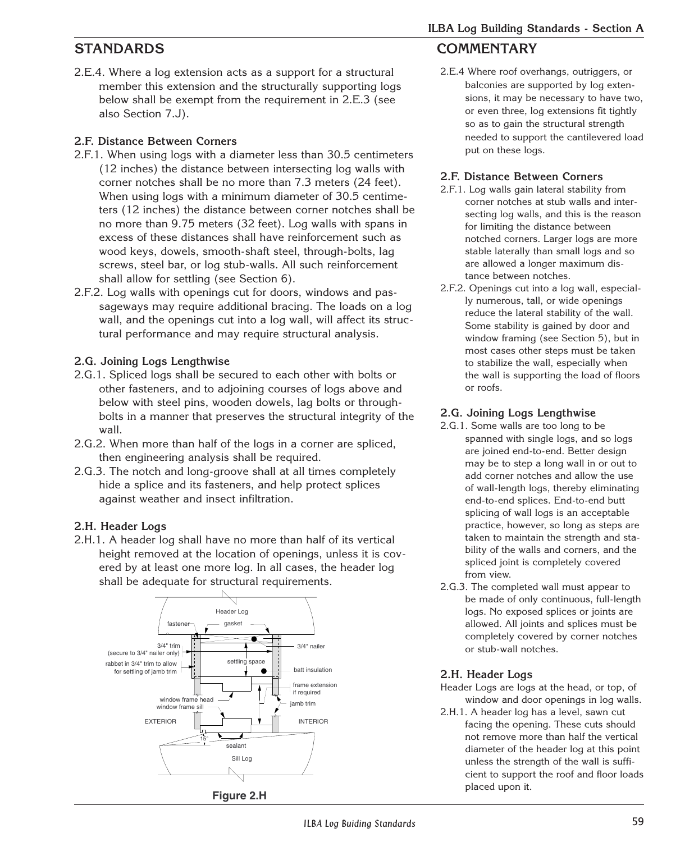2.E.4. Where a log extension acts as a support for a structural member this extension and the structurally supporting logs below shall be exempt from the requirement in 2.E.3 (see also Section 7.J).

## **2.F. Distance Between Corners**

- 2.F.1. When using logs with a diameter less than 30.5 centimeters (12 inches) the distance between intersecting log walls with corner notches shall be no more than 7.3 meters (24 feet). When using logs with a minimum diameter of 30.5 centimeters (12 inches) the distance between corner notches shall be no more than 9.75 meters (32 feet). Log walls with spans in excess of these distances shall have reinforcement such as wood keys, dowels, smooth-shaft steel, through-bolts, lag screws, steel bar, or log stub-walls. All such reinforcement shall allow for settling (see Section 6).
- 2.F.2. Log walls with openings cut for doors, windows and passageways may require additional bracing. The loads on a log wall, and the openings cut into a log wall, will affect its structural performance and may require structural analysis.

## **2.G. Joining Logs Lengthwise**

- 2.G.1. Spliced logs shall be secured to each other with bolts or other fasteners, and to adjoining courses of logs above and below with steel pins, wooden dowels, lag bolts or throughbolts in a manner that preserves the structural integrity of the wall.
- 2.G.2. When more than half of the logs in a corner are spliced, then engineering analysis shall be required.
- 2.G.3. The notch and long-groove shall at all times completely hide a splice and its fasteners, and help protect splices against weather and insect infiltration.

## **2.H. Header Logs**

2.H.1. A header log shall have no more than half of its vertical height removed at the location of openings, unless it is covered by at least one more log. In all cases, the header log shall be adequate for structural requirements.



## **STANDARDS COMMENTARY**

2.E.4 Where roof overhangs, outriggers, or balconies are supported by log extensions, it may be necessary to have two, or even three, log extensions fit tightly so as to gain the structural strength needed to support the cantilevered load put on these logs.

## **2.F. Distance Between Corners**

- 2.F.1. Log walls gain lateral stability from corner notches at stub walls and intersecting log walls, and this is the reason for limiting the distance between notched corners. Larger logs are more stable laterally than small logs and so are allowed a longer maximum distance between notches.
- 2.F.2. Openings cut into a log wall, especially numerous, tall, or wide openings reduce the lateral stability of the wall. Some stability is gained by door and window framing (see Section 5), but in most cases other steps must be taken to stabilize the wall, especially when the wall is supporting the load of floors or roofs.

## **2.G. Joining Logs Lengthwise**

- 2.G.1. Some walls are too long to be spanned with single logs, and so logs are joined end-to-end. Better design may be to step a long wall in or out to add corner notches and allow the use of wall-length logs, thereby eliminating end-to-end splices. End-to-end butt splicing of wall logs is an acceptable practice, however, so long as steps are taken to maintain the strength and stability of the walls and corners, and the spliced joint is completely covered from view.
- 2.G.3. The completed wall must appear to be made of only continuous, full-length logs. No exposed splices or joints are allowed. All joints and splices must be completely covered by corner notches or stub-wall notches.

## **2.H. Header Logs**

Header Logs are logs at the head, or top, of window and door openings in log walls.

2.H.1. A header log has a level, sawn cut facing the opening. These cuts should not remove more than half the vertical diameter of the header log at this point unless the strength of the wall is sufficient to support the roof and floor loads placed upon it.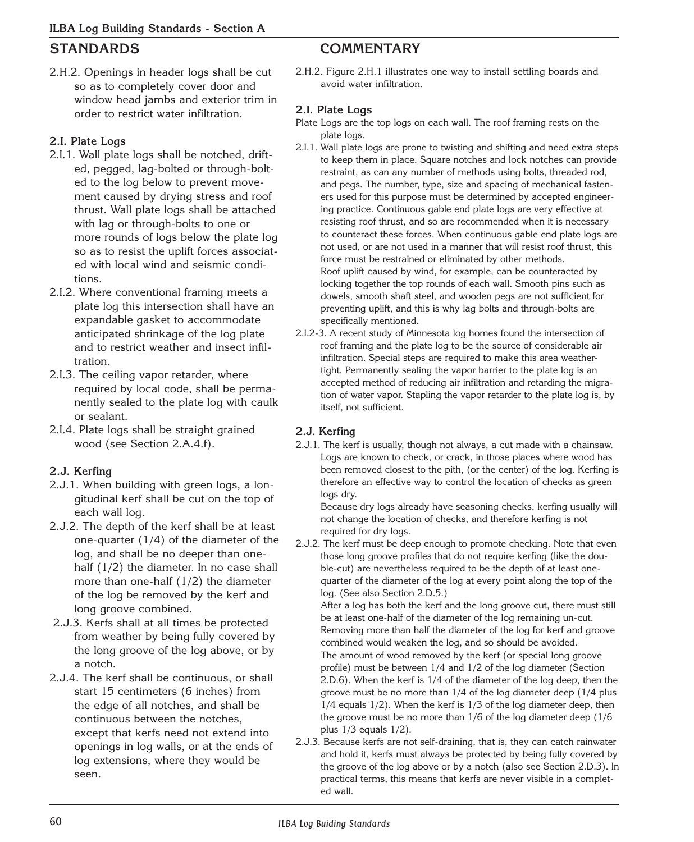2.H.2. Openings in header logs shall be cut so as to completely cover door and window head jambs and exterior trim in order to restrict water infiltration.

### **2.I. Plate Logs**

- 2.I.1. Wall plate logs shall be notched, drifted, pegged, lag-bolted or through-bolted to the log below to prevent movement caused by drying stress and roof thrust. Wall plate logs shall be attached with lag or through-bolts to one or more rounds of logs below the plate log so as to resist the uplift forces associated with local wind and seismic conditions.
- 2.I.2. Where conventional framing meets a plate log this intersection shall have an expandable gasket to accommodate anticipated shrinkage of the log plate and to restrict weather and insect infiltration.
- 2.I.3. The ceiling vapor retarder, where required by local code, shall be permanently sealed to the plate log with caulk or sealant.
- 2.I.4. Plate logs shall be straight grained wood (see Section 2.A.4.f).

### **2.J. Kerfing**

- 2.J.1. When building with green logs, a longitudinal kerf shall be cut on the top of each wall log.
- 2.J.2. The depth of the kerf shall be at least one-quarter (1/4) of the diameter of the log, and shall be no deeper than onehalf (1/2) the diameter. In no case shall more than one-half (1/2) the diameter of the log be removed by the kerf and long groove combined.
- 2.J.3. Kerfs shall at all times be protected from weather by being fully covered by the long groove of the log above, or by a notch.
- 2.J.4. The kerf shall be continuous, or shall start 15 centimeters (6 inches) from the edge of all notches, and shall be continuous between the notches, except that kerfs need not extend into openings in log walls, or at the ends of log extensions, where they would be seen.

## **STANDARDS COMMENTARY**

2.H.2. Figure 2.H.1 illustrates one way to install settling boards and avoid water infiltration.

#### **2.I. Plate Logs**

Plate Logs are the top logs on each wall. The roof framing rests on the plate logs.

- 2.I.1. Wall plate logs are prone to twisting and shifting and need extra steps to keep them in place. Square notches and lock notches can provide restraint, as can any number of methods using bolts, threaded rod, and pegs. The number, type, size and spacing of mechanical fasteners used for this purpose must be determined by accepted engineering practice. Continuous gable end plate logs are very effective at resisting roof thrust, and so are recommended when it is necessary to counteract these forces. When continuous gable end plate logs are not used, or are not used in a manner that will resist roof thrust, this force must be restrained or eliminated by other methods. Roof uplift caused by wind, for example, can be counteracted by locking together the top rounds of each wall. Smooth pins such as dowels, smooth shaft steel, and wooden pegs are not sufficient for preventing uplift, and this is why lag bolts and through-bolts are specifically mentioned.
- 2.I.2-3. A recent study of Minnesota log homes found the intersection of roof framing and the plate log to be the source of considerable air infiltration. Special steps are required to make this area weathertight. Permanently sealing the vapor barrier to the plate log is an accepted method of reducing air infiltration and retarding the migration of water vapor. Stapling the vapor retarder to the plate log is, by itself, not sufficient.

#### **2.J. Kerfing**

2.J.1. The kerf is usually, though not always, a cut made with a chainsaw. Logs are known to check, or crack, in those places where wood has been removed closest to the pith, (or the center) of the log. Kerfing is therefore an effective way to control the location of checks as green logs dry.

Because dry logs already have seasoning checks, kerfing usually will not change the location of checks, and therefore kerfing is not required for dry logs.

2.J.2. The kerf must be deep enough to promote checking. Note that even those long groove profiles that do not require kerfing (like the double-cut) are nevertheless required to be the depth of at least onequarter of the diameter of the log at every point along the top of the log. (See also Section 2.D.5.)

After a log has both the kerf and the long groove cut, there must still be at least one-half of the diameter of the log remaining un-cut. Removing more than half the diameter of the log for kerf and groove combined would weaken the log, and so should be avoided. The amount of wood removed by the kerf (or special long groove profile) must be between 1/4 and 1/2 of the log diameter (Section

2.D.6). When the kerf is 1/4 of the diameter of the log deep, then the groove must be no more than 1/4 of the log diameter deep (1/4 plus 1/4 equals 1/2). When the kerf is 1/3 of the log diameter deep, then the groove must be no more than 1/6 of the log diameter deep (1/6 plus 1/3 equals 1/2).

2.J.3. Because kerfs are not self-draining, that is, they can catch rainwater and hold it, kerfs must always be protected by being fully covered by the groove of the log above or by a notch (also see Section 2.D.3). In practical terms, this means that kerfs are never visible in a completed wall.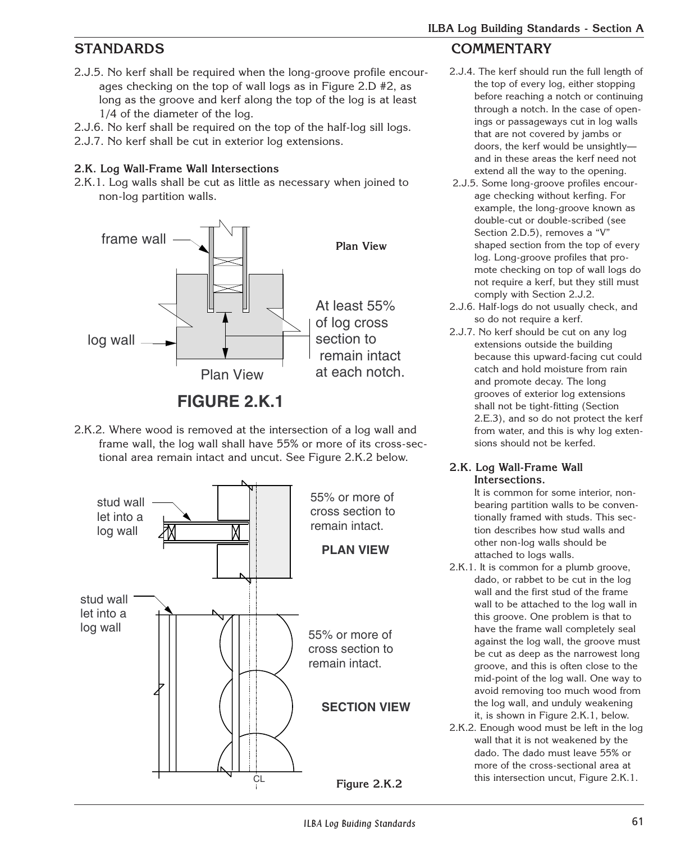- 2.J.5. No kerf shall be required when the long-groove profile encourages checking on the top of wall logs as in Figure 2.D #2, as long as the groove and kerf along the top of the log is at least 1/4 of the diameter of the log.
- 2.J.6. No kerf shall be required on the top of the half-log sill logs.
- 2.J.7. No kerf shall be cut in exterior log extensions.

### **2.K. Log Wall-Frame Wall Intersections**

2.K.1. Log walls shall be cut as little as necessary when joined to non-log partition walls.



## **FIGURE 2.K.1**

2.K.2. Where wood is removed at the intersection of a log wall and frame wall, the log wall shall have 55% or more of its cross-sectional area remain intact and uncut. See Figure 2.K.2 below.



## **STANDARDS COMMENTARY**

- 2.J.4. The kerf should run the full length of the top of every log, either stopping before reaching a notch or continuing through a notch. In the case of openings or passageways cut in log walls that are not covered by jambs or doors, the kerf would be unsightly and in these areas the kerf need not extend all the way to the opening.
- 2.J.5. Some long-groove profiles encourage checking without kerfing. For example, the long-groove known as double-cut or double-scribed (see Section 2.D.5), removes a "V" shaped section from the top of every log. Long-groove profiles that promote checking on top of wall logs do not require a kerf, but they still must comply with Section 2.J.2.
- 2.J.6. Half-logs do not usually check, and so do not require a kerf.
- 2.J.7. No kerf should be cut on any log extensions outside the building because this upward-facing cut could catch and hold moisture from rain and promote decay. The long grooves of exterior log extensions shall not be tight-fitting (Section 2.E.3), and so do not protect the kerf from water, and this is why log extensions should not be kerfed.

#### **2.K. Log Wall-Frame Wall Intersections.**

It is common for some interior, nonbearing partition walls to be conventionally framed with studs. This section describes how stud walls and other non-log walls should be attached to logs walls.

- 2.K.1. It is common for a plumb groove, dado, or rabbet to be cut in the log wall and the first stud of the frame wall to be attached to the log wall in this groove. One problem is that to have the frame wall completely seal against the log wall, the groove must be cut as deep as the narrowest long groove, and this is often close to the mid-point of the log wall. One way to avoid removing too much wood from the log wall, and unduly weakening it, is shown in Figure 2.K.1, below.
- 2.K.2. Enough wood must be left in the log wall that it is not weakened by the dado. The dado must leave 55% or more of the cross-sectional area at this intersection uncut, Figure 2.K.1.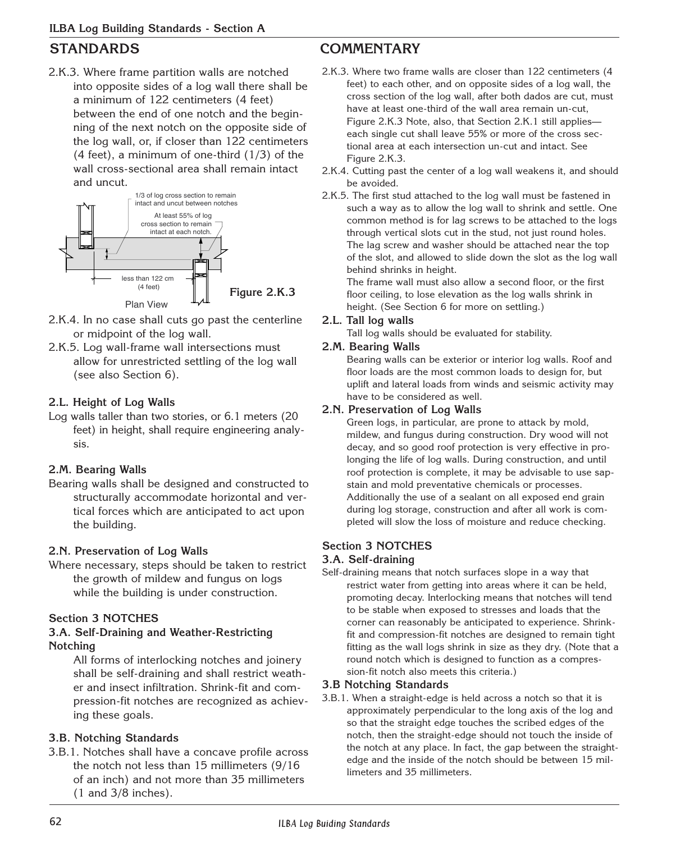2.K.3. Where frame partition walls are notched into opposite sides of a log wall there shall be a minimum of 122 centimeters (4 feet) between the end of one notch and the beginning of the next notch on the opposite side of the log wall, or, if closer than 122 centimeters  $(4$  feet), a minimum of one-third  $(1/3)$  of the wall cross-sectional area shall remain intact and uncut.



- 2.K.4. In no case shall cuts go past the centerline or midpoint of the log wall.
- 2.K.5. Log wall-frame wall intersections must allow for unrestricted settling of the log wall (see also Section 6).

#### **2.L. Height of Log Walls**

Log walls taller than two stories, or 6.1 meters (20 feet) in height, shall require engineering analysis.

### **2.M. Bearing Walls**

Bearing walls shall be designed and constructed to structurally accommodate horizontal and vertical forces which are anticipated to act upon the building.

### **2.N. Preservation of Log Walls**

Where necessary, steps should be taken to restrict the growth of mildew and fungus on logs while the building is under construction.

### **Section 3 NOTCHES**

#### **3.A. Self-Draining and Weather-Restricting Notching**

All forms of interlocking notches and joinery shall be self-draining and shall restrict weather and insect infiltration. Shrink-fit and compression-fit notches are recognized as achieving these goals.

### **3.B. Notching Standards**

3.B.1. Notches shall have a concave profile across the notch not less than 15 millimeters (9/16 of an inch) and not more than 35 millimeters (1 and 3/8 inches).

## **STANDARDS COMMENTARY**

- 2.K.3. Where two frame walls are closer than 122 centimeters (4 feet) to each other, and on opposite sides of a log wall, the cross section of the log wall, after both dados are cut, must have at least one-third of the wall area remain un-cut, Figure 2.K.3 Note, also, that Section 2.K.1 still applies each single cut shall leave 55% or more of the cross sectional area at each intersection un-cut and intact. See Figure 2.K.3.
- 2.K.4. Cutting past the center of a log wall weakens it, and should be avoided.
- 2.K.5. The first stud attached to the log wall must be fastened in such a way as to allow the log wall to shrink and settle. One common method is for lag screws to be attached to the logs through vertical slots cut in the stud, not just round holes. The lag screw and washer should be attached near the top of the slot, and allowed to slide down the slot as the log wall behind shrinks in height.

The frame wall must also allow a second floor, or the first floor ceiling, to lose elevation as the log walls shrink in height. (See Section 6 for more on settling.)

#### **2.L. Tall log walls**

Tall log walls should be evaluated for stability.

#### **2.M. Bearing Walls**

Bearing walls can be exterior or interior log walls. Roof and floor loads are the most common loads to design for, but uplift and lateral loads from winds and seismic activity may have to be considered as well.

#### **2.N. Preservation of Log Walls**

Green logs, in particular, are prone to attack by mold, mildew, and fungus during construction. Dry wood will not decay, and so good roof protection is very effective in prolonging the life of log walls. During construction, and until roof protection is complete, it may be advisable to use sapstain and mold preventative chemicals or processes. Additionally the use of a sealant on all exposed end grain during log storage, construction and after all work is completed will slow the loss of moisture and reduce checking.

### **Section 3 NOTCHES**

#### **3.A. Self-draining**

Self-draining means that notch surfaces slope in a way that restrict water from getting into areas where it can be held, promoting decay. Interlocking means that notches will tend to be stable when exposed to stresses and loads that the corner can reasonably be anticipated to experience. Shrinkfit and compression-fit notches are designed to remain tight fitting as the wall logs shrink in size as they dry. (Note that a round notch which is designed to function as a compression-fit notch also meets this criteria.)

#### **3.B Notching Standards**

3.B.1. When a straight-edge is held across a notch so that it is approximately perpendicular to the long axis of the log and so that the straight edge touches the scribed edges of the notch, then the straight-edge should not touch the inside of the notch at any place. In fact, the gap between the straightedge and the inside of the notch should be between 15 millimeters and 35 millimeters.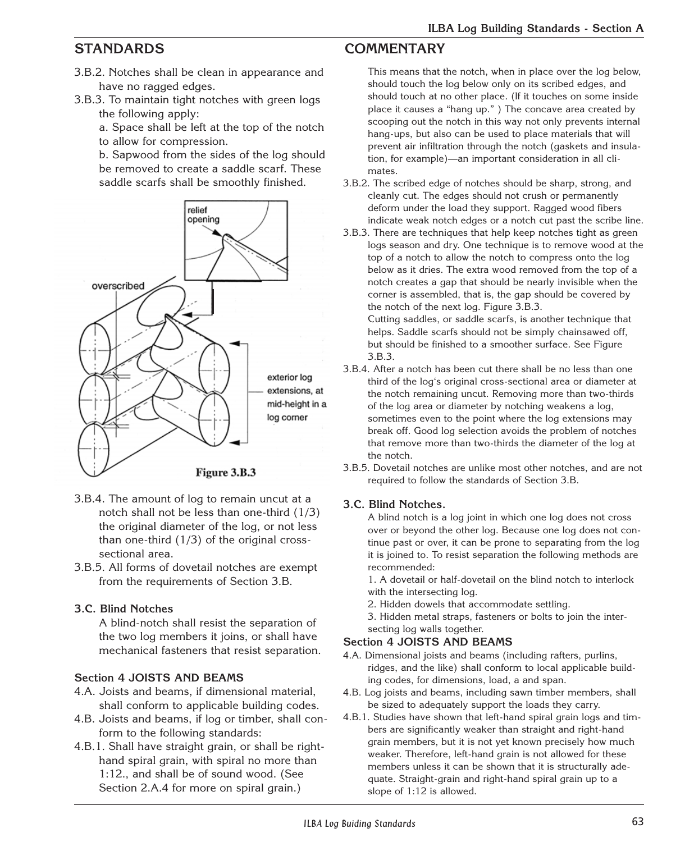- 3.B.2. Notches shall be clean in appearance and have no ragged edges.
- 3.B.3. To maintain tight notches with green logs the following apply:

a. Space shall be left at the top of the notch to allow for compression.

b. Sapwood from the sides of the log should be removed to create a saddle scarf. These saddle scarfs shall be smoothly finished.



- 3.B.4. The amount of log to remain uncut at a notch shall not be less than one-third (1/3) the original diameter of the log, or not less than one-third (1/3) of the original crosssectional area.
- 3.B.5. All forms of dovetail notches are exempt from the requirements of Section 3.B.

#### **3.C. Blind Notches**

A blind-notch shall resist the separation of the two log members it joins, or shall have mechanical fasteners that resist separation.

#### **Section 4 JOISTS AND BEAMS**

- 4.A. Joists and beams, if dimensional material, shall conform to applicable building codes.
- 4.B. Joists and beams, if log or timber, shall conform to the following standards:
- 4.B.1. Shall have straight grain, or shall be righthand spiral grain, with spiral no more than 1:12., and shall be of sound wood. (See Section 2.A.4 for more on spiral grain.)

## **STANDARDS COMMENTARY**

This means that the notch, when in place over the log below, should touch the log below only on its scribed edges, and should touch at no other place. (If it touches on some inside place it causes a "hang up." ) The concave area created by scooping out the notch in this way not only prevents internal hang-ups, but also can be used to place materials that will prevent air infiltration through the notch (gaskets and insulation, for example)—an important consideration in all climates.

- 3.B.2. The scribed edge of notches should be sharp, strong, and cleanly cut. The edges should not crush or permanently deform under the load they support. Ragged wood fibers indicate weak notch edges or a notch cut past the scribe line.
- 3.B.3. There are techniques that help keep notches tight as green logs season and dry. One technique is to remove wood at the top of a notch to allow the notch to compress onto the log below as it dries. The extra wood removed from the top of a notch creates a gap that should be nearly invisible when the corner is assembled, that is, the gap should be covered by the notch of the next log. Figure 3.B.3.

Cutting saddles, or saddle scarfs, is another technique that helps. Saddle scarfs should not be simply chainsawed off, but should be finished to a smoother surface. See Figure 3.B.3.

- 3.B.4. After a notch has been cut there shall be no less than one third of the log's original cross-sectional area or diameter at the notch remaining uncut. Removing more than two-thirds of the log area or diameter by notching weakens a log, sometimes even to the point where the log extensions may break off. Good log selection avoids the problem of notches that remove more than two-thirds the diameter of the log at the notch.
- 3.B.5. Dovetail notches are unlike most other notches, and are not required to follow the standards of Section 3.B.

### **3.C. Blind Notches.**

A blind notch is a log joint in which one log does not cross over or beyond the other log. Because one log does not continue past or over, it can be prone to separating from the log it is joined to. To resist separation the following methods are recommended:

1. A dovetail or half-dovetail on the blind notch to interlock with the intersecting log.

- 2. Hidden dowels that accommodate settling.
- 3. Hidden metal straps, fasteners or bolts to join the intersecting log walls together.

#### **Section 4 JOISTS AND BEAMS**

- 4.A. Dimensional joists and beams (including rafters, purlins, ridges, and the like) shall conform to local applicable building codes, for dimensions, load, a and span.
- 4.B. Log joists and beams, including sawn timber members, shall be sized to adequately support the loads they carry.
- 4.B.1. Studies have shown that left-hand spiral grain logs and timbers are significantly weaker than straight and right-hand grain members, but it is not yet known precisely how much weaker. Therefore, left-hand grain is not allowed for these members unless it can be shown that it is structurally adequate. Straight-grain and right-hand spiral grain up to a slope of 1:12 is allowed.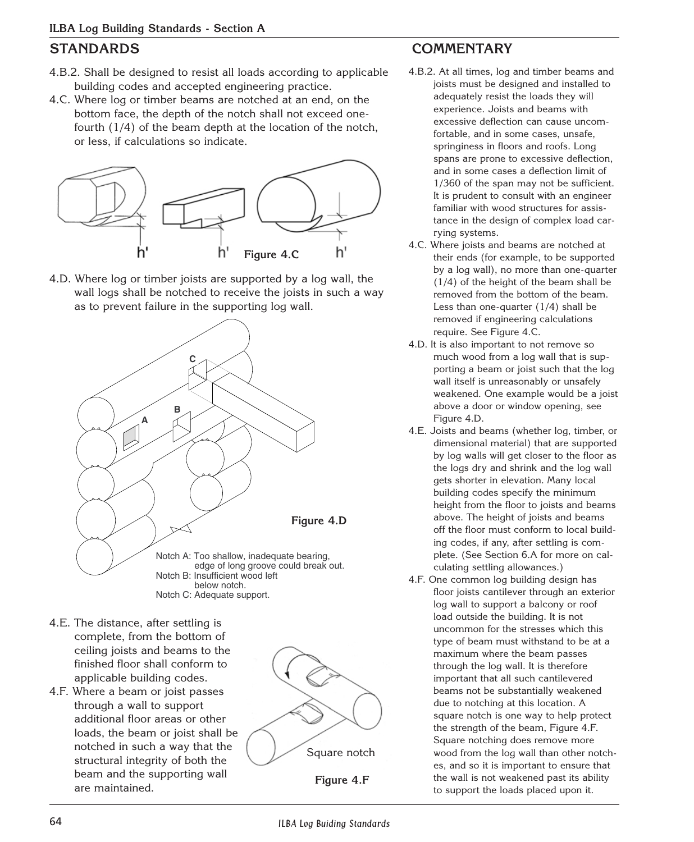- 4.B.2. Shall be designed to resist all loads according to applicable building codes and accepted engineering practice.
- 4.C. Where log or timber beams are notched at an end, on the bottom face, the depth of the notch shall not exceed onefourth (1/4) of the beam depth at the location of the notch, or less, if calculations so indicate.



4.D. Where log or timber joists are supported by a log wall, the wall logs shall be notched to receive the joists in such a way as to prevent failure in the supporting log wall.



- 4.E. The distance, after settling is complete, from the bottom of ceiling joists and beams to the finished floor shall conform to applicable building codes.
- 4.F. Where a beam or joist passes through a wall to support additional floor areas or other loads, the beam or joist shall be notched in such a way that the structural integrity of both the beam and the supporting wall are maintained.





## **STANDARDS COMMENTARY**

- 4.B.2. At all times, log and timber beams and joists must be designed and installed to adequately resist the loads they will experience. Joists and beams with excessive deflection can cause uncomfortable, and in some cases, unsafe, springiness in floors and roofs. Long spans are prone to excessive deflection, and in some cases a deflection limit of 1/360 of the span may not be sufficient. It is prudent to consult with an engineer familiar with wood structures for assistance in the design of complex load carrying systems.
- 4.C. Where joists and beams are notched at their ends (for example, to be supported by a log wall), no more than one-quarter (1/4) of the height of the beam shall be removed from the bottom of the beam. Less than one-quarter (1/4) shall be removed if engineering calculations require. See Figure 4.C.
- 4.D. It is also important to not remove so much wood from a log wall that is supporting a beam or joist such that the log wall itself is unreasonably or unsafely weakened. One example would be a joist above a door or window opening, see Figure 4.D.
- 4.E. Joists and beams (whether log, timber, or dimensional material) that are supported by log walls will get closer to the floor as the logs dry and shrink and the log wall gets shorter in elevation. Many local building codes specify the minimum height from the floor to joists and beams above. The height of joists and beams off the floor must conform to local building codes, if any, after settling is complete. (See Section 6.A for more on calculating settling allowances.)
- 4.F. One common log building design has floor joists cantilever through an exterior log wall to support a balcony or roof load outside the building. It is not uncommon for the stresses which this type of beam must withstand to be at a maximum where the beam passes through the log wall. It is therefore important that all such cantilevered beams not be substantially weakened due to notching at this location. A square notch is one way to help protect the strength of the beam, Figure 4.F. Square notching does remove more wood from the log wall than other notches, and so it is important to ensure that the wall is not weakened past its ability to support the loads placed upon it.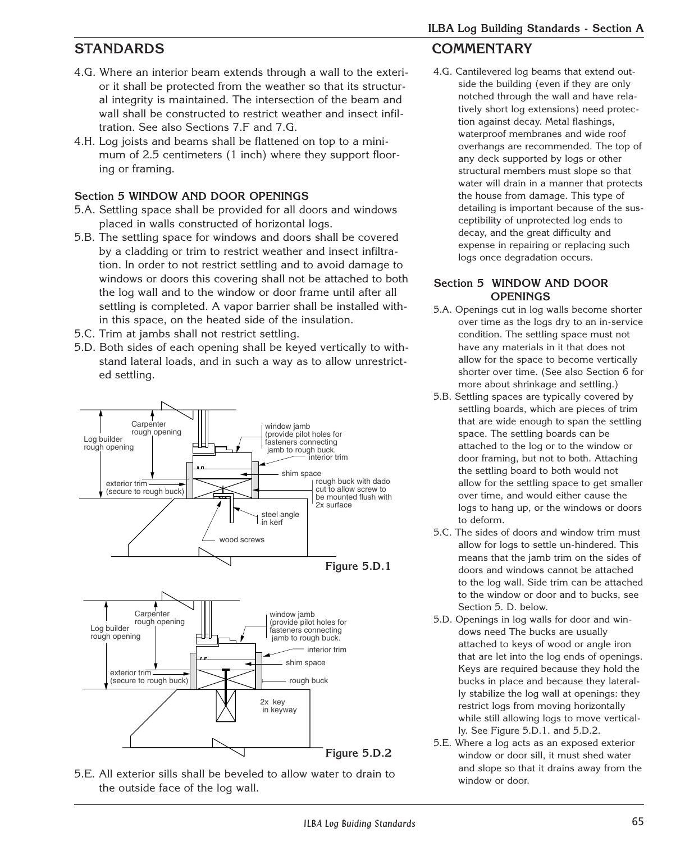- 4.G. Where an interior beam extends through a wall to the exterior it shall be protected from the weather so that its structural integrity is maintained. The intersection of the beam and wall shall be constructed to restrict weather and insect infiltration. See also Sections 7.F and 7.G.
- 4.H. Log joists and beams shall be flattened on top to a minimum of 2.5 centimeters (1 inch) where they support flooring or framing.

## **Section 5 WINDOW AND DOOR OPENINGS**

- 5.A. Settling space shall be provided for all doors and windows placed in walls constructed of horizontal logs.
- 5.B. The settling space for windows and doors shall be covered by a cladding or trim to restrict weather and insect infiltration. In order to not restrict settling and to avoid damage to windows or doors this covering shall not be attached to both the log wall and to the window or door frame until after all settling is completed. A vapor barrier shall be installed within this space, on the heated side of the insulation.
- 5.C. Trim at jambs shall not restrict settling.
- 5.D. Both sides of each opening shall be keyed vertically to withstand lateral loads, and in such a way as to allow unrestricted settling.









## **STANDARDS COMMENTARY**

4.G. Cantilevered log beams that extend outside the building (even if they are only notched through the wall and have relatively short log extensions) need protection against decay. Metal flashings, waterproof membranes and wide roof overhangs are recommended. The top of any deck supported by logs or other structural members must slope so that water will drain in a manner that protects the house from damage. This type of detailing is important because of the susceptibility of unprotected log ends to decay, and the great difficulty and expense in repairing or replacing such logs once degradation occurs.

### **Section 5 WINDOW AND DOOR OPENINGS**

- 5.A. Openings cut in log walls become shorter over time as the logs dry to an in-service condition. The settling space must not have any materials in it that does not allow for the space to become vertically shorter over time. (See also Section 6 for more about shrinkage and settling.)
- 5.B. Settling spaces are typically covered by settling boards, which are pieces of trim that are wide enough to span the settling space. The settling boards can be attached to the log or to the window or door framing, but not to both. Attaching the settling board to both would not allow for the settling space to get smaller over time, and would either cause the logs to hang up, or the windows or doors to deform.
- 5.C. The sides of doors and window trim must allow for logs to settle un-hindered. This means that the jamb trim on the sides of doors and windows cannot be attached to the log wall. Side trim can be attached to the window or door and to bucks, see Section 5. D. below.
- 5.D. Openings in log walls for door and windows need The bucks are usually attached to keys of wood or angle iron that are let into the log ends of openings. Keys are required because they hold the bucks in place and because they laterally stabilize the log wall at openings: they restrict logs from moving horizontally while still allowing logs to move vertically. See Figure 5.D.1. and 5.D.2.
- 5.E. Where a log acts as an exposed exterior window or door sill, it must shed water and slope so that it drains away from the window or door.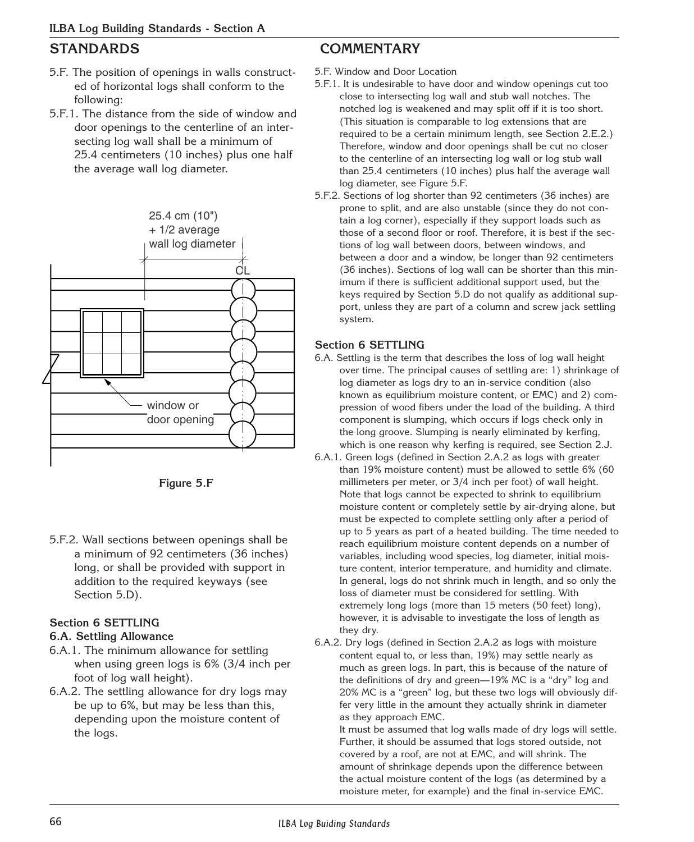- 5.F. The position of openings in walls constructed of horizontal logs shall conform to the following:
- 5.F.1. The distance from the side of window and door openings to the centerline of an intersecting log wall shall be a minimum of 25.4 centimeters (10 inches) plus one half the average wall log diameter.



**Figure 5.F**

5.F.2. Wall sections between openings shall be a minimum of 92 centimeters (36 inches) long, or shall be provided with support in addition to the required keyways (see Section 5.D).

#### **Section 6 SETTLING**

#### **6.A. Settling Allowance**

- 6.A.1. The minimum allowance for settling when using green logs is 6% (3/4 inch per foot of log wall height).
- 6.A.2. The settling allowance for dry logs may be up to 6%, but may be less than this, depending upon the moisture content of the logs.

## **STANDARDS COMMENTARY**

5.F. Window and Door Location

- 5.F.1. It is undesirable to have door and window openings cut too close to intersecting log wall and stub wall notches. The notched log is weakened and may split off if it is too short. (This situation is comparable to log extensions that are required to be a certain minimum length, see Section 2.E.2.) Therefore, window and door openings shall be cut no closer to the centerline of an intersecting log wall or log stub wall than 25.4 centimeters (10 inches) plus half the average wall log diameter, see Figure 5.F.
- 5.F.2. Sections of log shorter than 92 centimeters (36 inches) are prone to split, and are also unstable (since they do not contain a log corner), especially if they support loads such as those of a second floor or roof. Therefore, it is best if the sections of log wall between doors, between windows, and between a door and a window, be longer than 92 centimeters (36 inches). Sections of log wall can be shorter than this minimum if there is sufficient additional support used, but the keys required by Section 5.D do not qualify as additional support, unless they are part of a column and screw jack settling system.

### **Section 6 SETTLING**

- 6.A. Settling is the term that describes the loss of log wall height over time. The principal causes of settling are: 1) shrinkage of log diameter as logs dry to an in-service condition (also known as equilibrium moisture content, or EMC) and 2) compression of wood fibers under the load of the building. A third component is slumping, which occurs if logs check only in the long groove. Slumping is nearly eliminated by kerfing. which is one reason why kerfing is required, see Section 2.J.
- 6.A.1. Green logs (defined in Section 2.A.2 as logs with greater than 19% moisture content) must be allowed to settle 6% (60 millimeters per meter, or 3/4 inch per foot) of wall height. Note that logs cannot be expected to shrink to equilibrium moisture content or completely settle by air-drying alone, but must be expected to complete settling only after a period of up to 5 years as part of a heated building. The time needed to reach equilibrium moisture content depends on a number of variables, including wood species, log diameter, initial moisture content, interior temperature, and humidity and climate. In general, logs do not shrink much in length, and so only the loss of diameter must be considered for settling. With extremely long logs (more than 15 meters (50 feet) long), however, it is advisable to investigate the loss of length as they dry.
- 6.A.2. Dry logs (defined in Section 2.A.2 as logs with moisture content equal to, or less than, 19%) may settle nearly as much as green logs. In part, this is because of the nature of the definitions of dry and green—19% MC is a "dry" log and 20% MC is a "green" log, but these two logs will obviously differ very little in the amount they actually shrink in diameter as they approach EMC.

It must be assumed that log walls made of dry logs will settle. Further, it should be assumed that logs stored outside, not covered by a roof, are not at EMC, and will shrink. The amount of shrinkage depends upon the difference between the actual moisture content of the logs (as determined by a moisture meter, for example) and the final in-service EMC.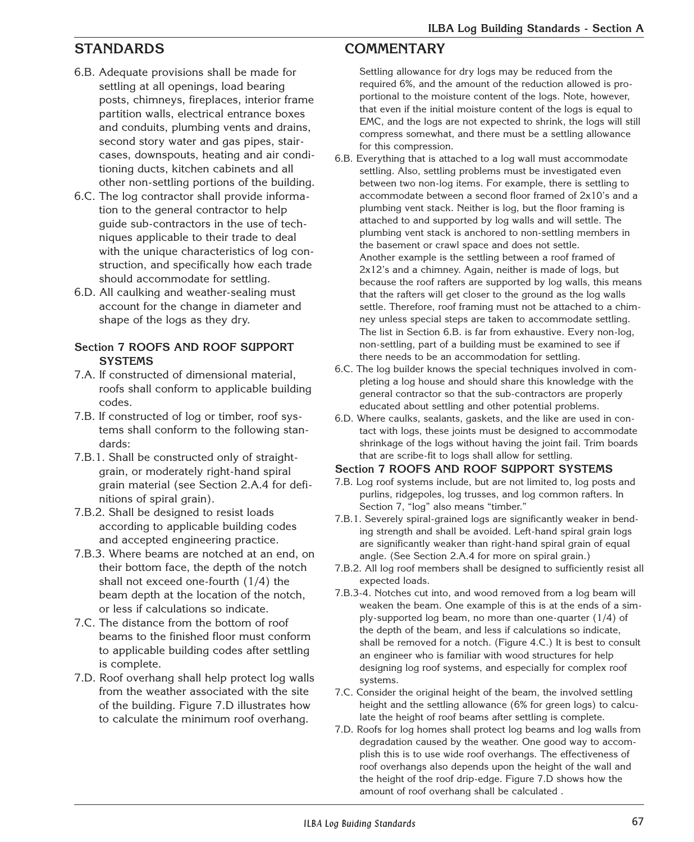- 6.B. Adequate provisions shall be made for settling at all openings, load bearing posts, chimneys, fireplaces, interior frame partition walls, electrical entrance boxes and conduits, plumbing vents and drains, second story water and gas pipes, staircases, downspouts, heating and air conditioning ducts, kitchen cabinets and all other non-settling portions of the building.
- 6.C. The log contractor shall provide information to the general contractor to help guide sub-contractors in the use of techniques applicable to their trade to deal with the unique characteristics of log construction, and specifically how each trade should accommodate for settling.
- 6.D. All caulking and weather-sealing must account for the change in diameter and shape of the logs as they dry.

#### **Section 7 ROOFS AND ROOF SUPPORT SYSTEMS**

- 7.A. If constructed of dimensional material, roofs shall conform to applicable building codes.
- 7.B. If constructed of log or timber, roof systems shall conform to the following standards:
- 7.B.1. Shall be constructed only of straightgrain, or moderately right-hand spiral grain material (see Section 2.A.4 for definitions of spiral grain).
- 7.B.2. Shall be designed to resist loads according to applicable building codes and accepted engineering practice.
- 7.B.3. Where beams are notched at an end, on their bottom face, the depth of the notch shall not exceed one-fourth (1/4) the beam depth at the location of the notch, or less if calculations so indicate.
- 7.C. The distance from the bottom of roof beams to the finished floor must conform to applicable building codes after settling is complete.
- 7.D. Roof overhang shall help protect log walls from the weather associated with the site of the building. Figure 7.D illustrates how to calculate the minimum roof overhang.

## **STANDARDS COMMENTARY**

Settling allowance for dry logs may be reduced from the required 6%, and the amount of the reduction allowed is proportional to the moisture content of the logs. Note, however, that even if the initial moisture content of the logs is equal to EMC, and the logs are not expected to shrink, the logs will still compress somewhat, and there must be a settling allowance for this compression.

- 6.B. Everything that is attached to a log wall must accommodate settling. Also, settling problems must be investigated even between two non-log items. For example, there is settling to accommodate between a second floor framed of 2x10's and a plumbing vent stack. Neither is log, but the floor framing is attached to and supported by log walls and will settle. The plumbing vent stack is anchored to non-settling members in the basement or crawl space and does not settle. Another example is the settling between a roof framed of 2x12's and a chimney. Again, neither is made of logs, but because the roof rafters are supported by log walls, this means that the rafters will get closer to the ground as the log walls settle. Therefore, roof framing must not be attached to a chimney unless special steps are taken to accommodate settling. The list in Section 6.B. is far from exhaustive. Every non-log, non-settling, part of a building must be examined to see if there needs to be an accommodation for settling.
- 6.C. The log builder knows the special techniques involved in completing a log house and should share this knowledge with the general contractor so that the sub-contractors are properly educated about settling and other potential problems.
- 6.D. Where caulks, sealants, gaskets, and the like are used in contact with logs, these joints must be designed to accommodate shrinkage of the logs without having the joint fail. Trim boards that are scribe-fit to logs shall allow for settling.

#### **Section 7 ROOFS AND ROOF SUPPORT SYSTEMS**

- 7.B. Log roof systems include, but are not limited to, log posts and purlins, ridgepoles, log trusses, and log common rafters. In Section 7, "log" also means "timber."
- 7.B.1. Severely spiral-grained logs are significantly weaker in bending strength and shall be avoided. Left-hand spiral grain logs are significantly weaker than right-hand spiral grain of equal angle. (See Section 2.A.4 for more on spiral grain.)
- 7.B.2. All log roof members shall be designed to sufficiently resist all expected loads.
- 7.B.3-4. Notches cut into, and wood removed from a log beam will weaken the beam. One example of this is at the ends of a simply-supported log beam, no more than one-quarter (1/4) of the depth of the beam, and less if calculations so indicate, shall be removed for a notch. (Figure 4.C.) It is best to consult an engineer who is familiar with wood structures for help designing log roof systems, and especially for complex roof systems.
- 7.C. Consider the original height of the beam, the involved settling height and the settling allowance (6% for green logs) to calculate the height of roof beams after settling is complete.
- 7.D. Roofs for log homes shall protect log beams and log walls from degradation caused by the weather. One good way to accomplish this is to use wide roof overhangs. The effectiveness of roof overhangs also depends upon the height of the wall and the height of the roof drip-edge. Figure 7.D shows how the amount of roof overhang shall be calculated .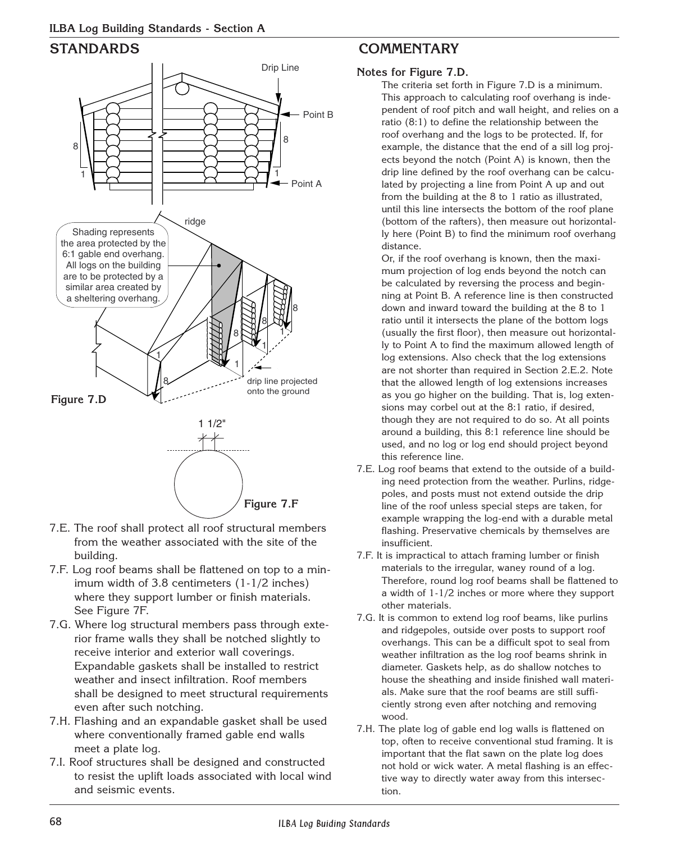

- 7.E. The roof shall protect all roof structural members from the weather associated with the site of the building.
- 7.F. Log roof beams shall be flattened on top to a minimum width of 3.8 centimeters (1-1/2 inches) where they support lumber or finish materials. See Figure 7F.
- 7.G. Where log structural members pass through exterior frame walls they shall be notched slightly to receive interior and exterior wall coverings. Expandable gaskets shall be installed to restrict weather and insect infiltration. Roof members shall be designed to meet structural requirements even after such notching.
- 7.H. Flashing and an expandable gasket shall be used where conventionally framed gable end walls meet a plate log.
- 7.I. Roof structures shall be designed and constructed to resist the uplift loads associated with local wind and seismic events.

## **STANDARDS COMMENTARY**

### **Notes for Figure 7.D.**

The criteria set forth in Figure 7.D is a minimum. This approach to calculating roof overhang is independent of roof pitch and wall height, and relies on a ratio (8:1) to define the relationship between the roof overhang and the logs to be protected. If, for example, the distance that the end of a sill log projects beyond the notch (Point A) is known, then the drip line defined by the roof overhang can be calculated by projecting a line from Point A up and out from the building at the 8 to 1 ratio as illustrated, until this line intersects the bottom of the roof plane (bottom of the rafters), then measure out horizontally here (Point B) to find the minimum roof overhang distance.

Or, if the roof overhang is known, then the maximum projection of log ends beyond the notch can be calculated by reversing the process and beginning at Point B. A reference line is then constructed down and inward toward the building at the 8 to 1 ratio until it intersects the plane of the bottom logs (usually the first floor), then measure out horizontally to Point A to find the maximum allowed length of log extensions. Also check that the log extensions are not shorter than required in Section 2.E.2. Note that the allowed length of log extensions increases as you go higher on the building. That is, log extensions may corbel out at the 8:1 ratio, if desired, though they are not required to do so. At all points around a building, this 8:1 reference line should be used, and no log or log end should project beyond this reference line.

- 7.E. Log roof beams that extend to the outside of a building need protection from the weather. Purlins, ridgepoles, and posts must not extend outside the drip line of the roof unless special steps are taken, for example wrapping the log-end with a durable metal flashing. Preservative chemicals by themselves are insufficient.
- 7.F. It is impractical to attach framing lumber or finish materials to the irregular, waney round of a log. Therefore, round log roof beams shall be flattened to a width of 1-1/2 inches or more where they support other materials.
- 7.G. It is common to extend log roof beams, like purlins and ridgepoles, outside over posts to support roof overhangs. This can be a difficult spot to seal from weather infiltration as the log roof beams shrink in diameter. Gaskets help, as do shallow notches to house the sheathing and inside finished wall materials. Make sure that the roof beams are still sufficiently strong even after notching and removing wood.
- 7.H. The plate log of gable end log walls is flattened on top, often to receive conventional stud framing. It is important that the flat sawn on the plate log does not hold or wick water. A metal flashing is an effective way to directly water away from this intersection.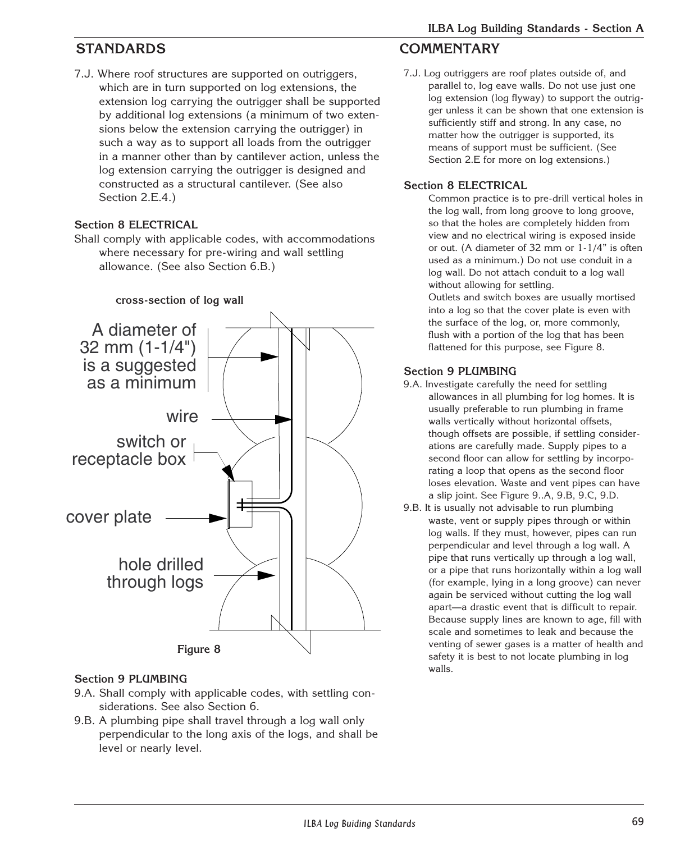7.J. Where roof structures are supported on outriggers, which are in turn supported on log extensions, the extension log carrying the outrigger shall be supported by additional log extensions (a minimum of two extensions below the extension carrying the outrigger) in such a way as to support all loads from the outrigger in a manner other than by cantilever action, unless the log extension carrying the outrigger is designed and constructed as a structural cantilever. (See also Section 2.E.4.)

### **Section 8 ELECTRICAL**

Shall comply with applicable codes, with accommodations where necessary for pre-wiring and wall settling allowance. (See also Section 6.B.)





#### **Section 9 PLUMBING**

- 9.A. Shall comply with applicable codes, with settling considerations. See also Section 6.
- 9.B. A plumbing pipe shall travel through a log wall only perpendicular to the long axis of the logs, and shall be level or nearly level.

## **STANDARDS COMMENTARY**

7.J. Log outriggers are roof plates outside of, and parallel to, log eave walls. Do not use just one log extension (log flyway) to support the outrigger unless it can be shown that one extension is sufficiently stiff and strong. In any case, no matter how the outrigger is supported, its means of support must be sufficient. (See Section 2.E for more on log extensions.)

#### **Section 8 ELECTRICAL**

Common practice is to pre-drill vertical holes in the log wall, from long groove to long groove, so that the holes are completely hidden from view and no electrical wiring is exposed inside or out. (A diameter of 32 mm or 1-1/4" is often used as a minimum.) Do not use conduit in a log wall. Do not attach conduit to a log wall without allowing for settling.

Outlets and switch boxes are usually mortised into a log so that the cover plate is even with the surface of the log, or, more commonly, flush with a portion of the log that has been flattened for this purpose, see Figure 8.

### **Section 9 PLUMBING**

- 9.A. Investigate carefully the need for settling allowances in all plumbing for log homes. It is usually preferable to run plumbing in frame walls vertically without horizontal offsets, though offsets are possible, if settling considerations are carefully made. Supply pipes to a second floor can allow for settling by incorporating a loop that opens as the second floor loses elevation. Waste and vent pipes can have a slip joint. See Figure 9..A, 9.B, 9.C, 9.D.
- 9.B. It is usually not advisable to run plumbing waste, vent or supply pipes through or within log walls. If they must, however, pipes can run perpendicular and level through a log wall. A pipe that runs vertically up through a log wall, or a pipe that runs horizontally within a log wall (for example, lying in a long groove) can never again be serviced without cutting the log wall apart—a drastic event that is difficult to repair. Because supply lines are known to age, fill with scale and sometimes to leak and because the venting of sewer gases is a matter of health and safety it is best to not locate plumbing in log walls.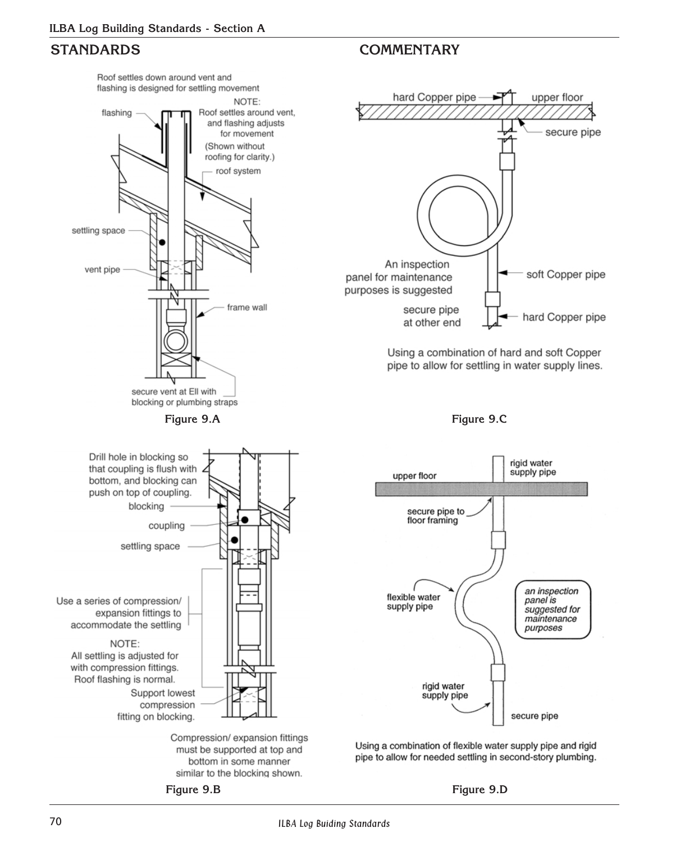

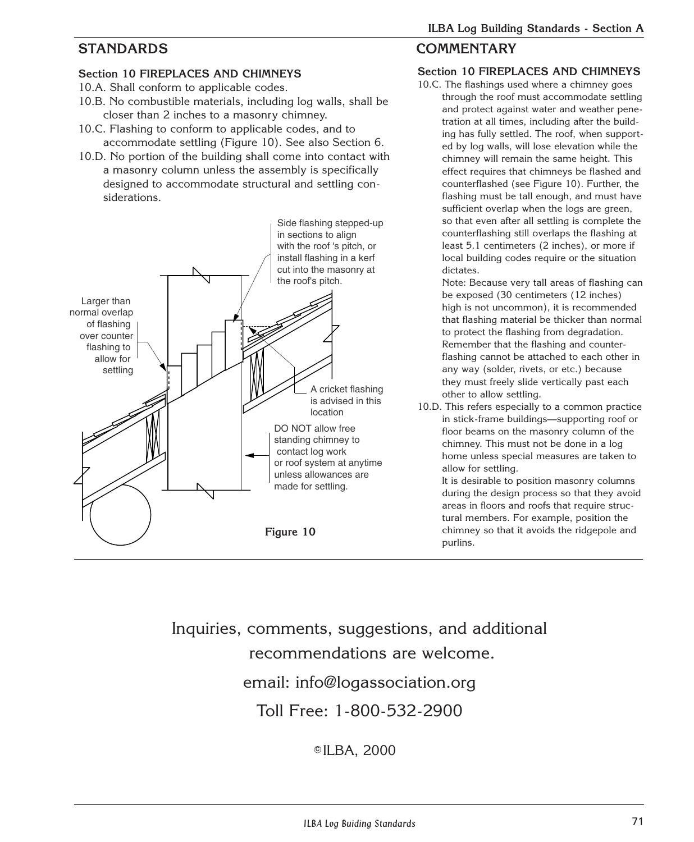### **Section 10 FIREPLACES AND CHIMNEYS**

- 10.A. Shall conform to applicable codes.
- 10.B. No combustible materials, including log walls, shall be closer than 2 inches to a masonry chimney.
- 10.C. Flashing to conform to applicable codes, and to accommodate settling (Figure 10). See also Section 6.
- 10.D. No portion of the building shall come into contact with a masonry column unless the assembly is specifically designed to accommodate structural and settling considerations.



## **STANDARDS COMMENTARY**

### **Section 10 FIREPLACES AND CHIMNEYS**

10.C. The flashings used where a chimney goes through the roof must accommodate settling and protect against water and weather penetration at all times, including after the building has fully settled. The roof, when supported by log walls, will lose elevation while the chimney will remain the same height. This effect requires that chimneys be flashed and counterflashed (see Figure 10). Further, the flashing must be tall enough, and must have sufficient overlap when the logs are green, so that even after all settling is complete the counterflashing still overlaps the flashing at least 5.1 centimeters (2 inches), or more if local building codes require or the situation dictates.

Note: Because very tall areas of flashing can be exposed (30 centimeters (12 inches) high is not uncommon), it is recommended that flashing material be thicker than normal to protect the flashing from degradation. Remember that the flashing and counterflashing cannot be attached to each other in any way (solder, rivets, or etc.) because they must freely slide vertically past each other to allow settling.

10.D. This refers especially to a common practice in stick-frame buildings—supporting roof or floor beams on the masonry column of the chimney. This must not be done in a log home unless special measures are taken to allow for settling.

> It is desirable to position masonry columns during the design process so that they avoid areas in floors and roofs that require structural members. For example, position the chimney so that it avoids the ridgepole and purlins.

Inquiries, comments, suggestions, and additional recommendations are welcome. email: info@logassociation.org Toll Free: 1-800-532-2900

<sup>c</sup> ILBA, 2000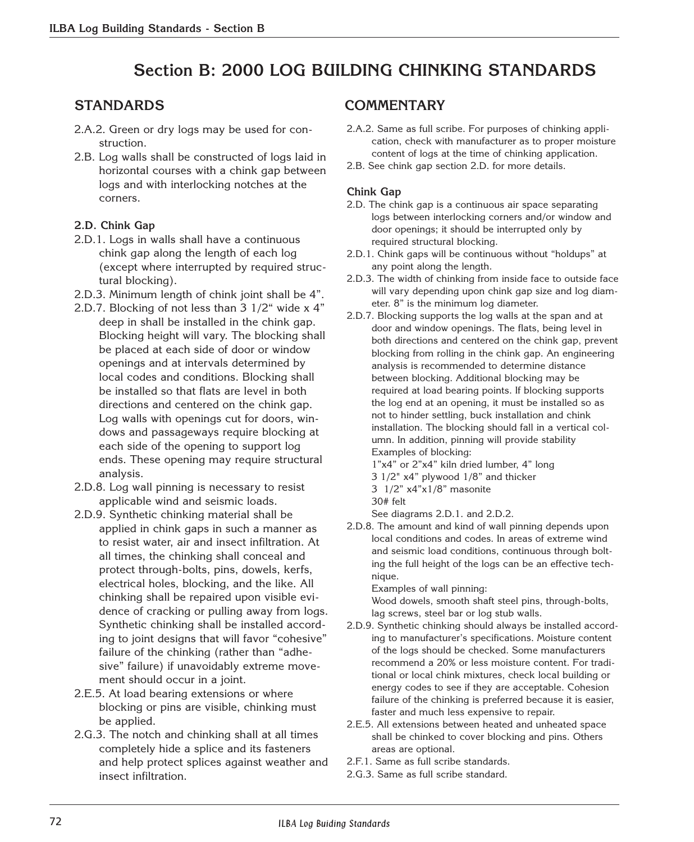## **Section B: 2000 LOG BUILDING CHINKING STANDARDS**

- 2.A.2. Green or dry logs may be used for construction.
- 2.B. Log walls shall be constructed of logs laid in horizontal courses with a chink gap between logs and with interlocking notches at the corners.

#### **2.D. Chink Gap**

- 2.D.1. Logs in walls shall have a continuous chink gap along the length of each log (except where interrupted by required structural blocking).
- 2.D.3. Minimum length of chink joint shall be 4".
- 2.D.7. Blocking of not less than 3 1/2" wide x 4" deep in shall be installed in the chink gap. Blocking height will vary. The blocking shall be placed at each side of door or window openings and at intervals determined by local codes and conditions. Blocking shall be installed so that flats are level in both directions and centered on the chink gap. Log walls with openings cut for doors, windows and passageways require blocking at each side of the opening to support log ends. These opening may require structural analysis.
- 2.D.8. Log wall pinning is necessary to resist applicable wind and seismic loads.
- 2.D.9. Synthetic chinking material shall be applied in chink gaps in such a manner as to resist water, air and insect infiltration. At all times, the chinking shall conceal and protect through-bolts, pins, dowels, kerfs, electrical holes, blocking, and the like. All chinking shall be repaired upon visible evidence of cracking or pulling away from logs. Synthetic chinking shall be installed according to joint designs that will favor "cohesive" failure of the chinking (rather than "adhesive" failure) if unavoidably extreme movement should occur in a joint.
- 2.E.5. At load bearing extensions or where blocking or pins are visible, chinking must be applied.
- 2.G.3. The notch and chinking shall at all times completely hide a splice and its fasteners and help protect splices against weather and insect infiltration.

## **STANDARDS COMMENTARY**

- 2.A.2. Same as full scribe. For purposes of chinking application, check with manufacturer as to proper moisture content of logs at the time of chinking application.
- 2.B. See chink gap section 2.D. for more details.

#### **Chink Gap**

- 2.D. The chink gap is a continuous air space separating logs between interlocking corners and/or window and door openings; it should be interrupted only by required structural blocking.
- 2.D.1. Chink gaps will be continuous without "holdups" at any point along the length.
- 2.D.3. The width of chinking from inside face to outside face will vary depending upon chink gap size and log diameter. 8" is the minimum log diameter.
- 2.D.7. Blocking supports the log walls at the span and at door and window openings. The flats, being level in both directions and centered on the chink gap, prevent blocking from rolling in the chink gap. An engineering analysis is recommended to determine distance between blocking. Additional blocking may be required at load bearing points. If blocking supports the log end at an opening, it must be installed so as not to hinder settling, buck installation and chink installation. The blocking should fall in a vertical column. In addition, pinning will provide stability Examples of blocking: 1"x4" or 2"x4" kiln dried lumber, 4" long
	- 3 1/2" x4" plywood 1/8" and thicker 3 1/2" x4"x1/8" masonite

See diagrams 2.D.1. and 2.D.2.

2.D.8. The amount and kind of wall pinning depends upon local conditions and codes. In areas of extreme wind and seismic load conditions, continuous through bolting the full height of the logs can be an effective technique.

Examples of wall pinning:

Wood dowels, smooth shaft steel pins, through-bolts, lag screws, steel bar or log stub walls.

- 2.D.9. Synthetic chinking should always be installed according to manufacturer's specifications. Moisture content of the logs should be checked. Some manufacturers recommend a 20% or less moisture content. For traditional or local chink mixtures, check local building or energy codes to see if they are acceptable. Cohesion failure of the chinking is preferred because it is easier, faster and much less expensive to repair.
- 2.E.5. All extensions between heated and unheated space shall be chinked to cover blocking and pins. Others areas are optional.
- 2.F.1. Same as full scribe standards.
- 2.G.3. Same as full scribe standard.

<sup>30#</sup> felt